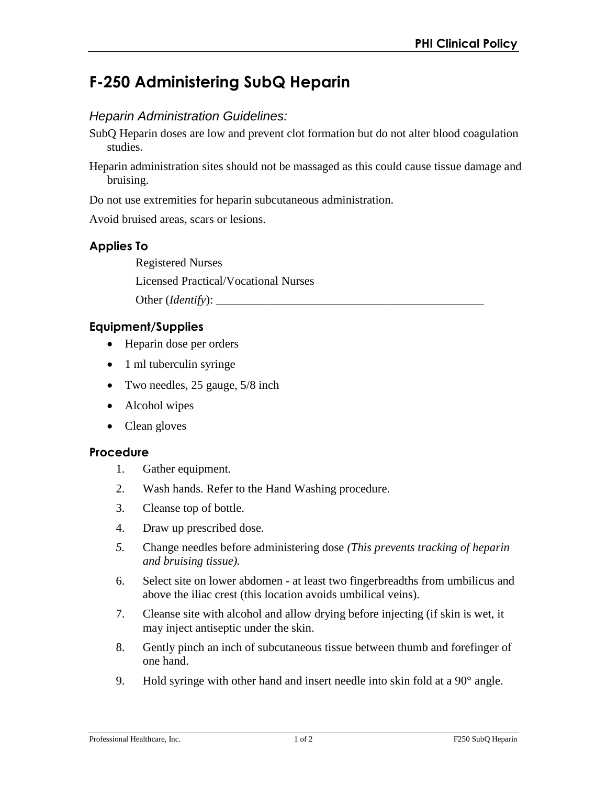# **F-250 Administering SubQ Heparin**

# *Heparin Administration Guidelines:*

- SubQ Heparin doses are low and prevent clot formation but do not alter blood coagulation studies.
- Heparin administration sites should not be massaged as this could cause tissue damage and bruising.

Do not use extremities for heparin subcutaneous administration.

Avoid bruised areas, scars or lesions.

# **Applies To**

Registered Nurses

Licensed Practical/Vocational Nurses

Other (*Identify*):

## **Equipment/Supplies**

- Heparin dose per orders
- 1 ml tuberculin syringe
- Two needles, 25 gauge, 5/8 inch
- Alcohol wipes
- Clean gloves

## **Procedure**

- 1. Gather equipment.
- 2. Wash hands. Refer to the Hand Washing procedure.
- 3. Cleanse top of bottle.
- 4. Draw up prescribed dose.
- *5.* Change needles before administering dose *(This prevents tracking of heparin and bruising tissue).*
- 6. Select site on lower abdomen at least two fingerbreadths from umbilicus and above the iliac crest (this location avoids umbilical veins).
- 7. Cleanse site with alcohol and allow drying before injecting (if skin is wet, it may inject antiseptic under the skin.
- 8. Gently pinch an inch of subcutaneous tissue between thumb and forefinger of one hand.
- 9. Hold syringe with other hand and insert needle into skin fold at a 90° angle.